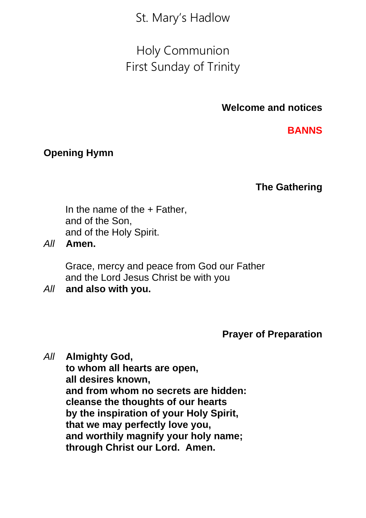# St. Mary's Hadlow

Holy Communion First Sunday of Trinity

**Welcome and notices**

## **BANNS**

#### **Opening Hymn**

#### **The Gathering**

In the name of the  $+$  Father, and of the Son, and of the Holy Spirit.

*All* **Amen.**

Grace, mercy and peace from God our Father and the Lord Jesus Christ be with you

#### *All* **and also with you.**

## **Prayer of Preparation**

*All* **Almighty God, to whom all hearts are open, all desires known, and from whom no secrets are hidden: cleanse the thoughts of our hearts by the inspiration of your Holy Spirit, that we may perfectly love you, and worthily magnify your holy name; through Christ our Lord. Amen.**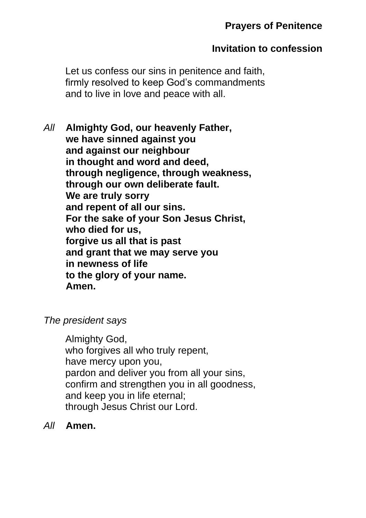#### **Prayers of Penitence**

#### **Invitation to confession**

Let us confess our sins in penitence and faith, firmly resolved to keep God's commandments and to live in love and peace with all.

*All* **Almighty God, our heavenly Father, we have sinned against you and against our neighbour in thought and word and deed, through negligence, through weakness, through our own deliberate fault. We are truly sorry and repent of all our sins. For the sake of your Son Jesus Christ, who died for us, forgive us all that is past and grant that we may serve you in newness of life to the glory of your name. Amen.**

#### *The president says*

Almighty God, who forgives all who truly repent, have mercy upon you, pardon and deliver you from all your sins, confirm and strengthen you in all goodness, and keep you in life eternal; through Jesus Christ our Lord.

*All* **Amen.**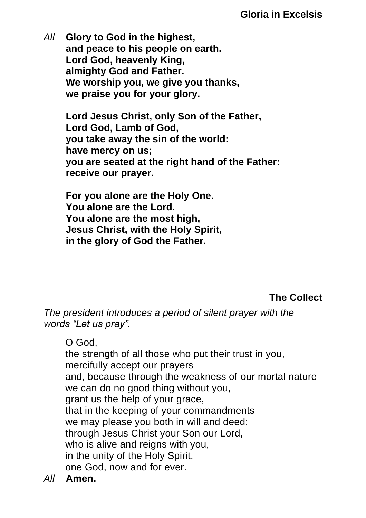*All* **Glory to God in the highest, and peace to his people on earth. Lord God, heavenly King, almighty God and Father. We worship you, we give you thanks, we praise you for your glory.**

> **Lord Jesus Christ, only Son of the Father, Lord God, Lamb of God, you take away the sin of the world: have mercy on us; you are seated at the right hand of the Father: receive our prayer.**

**For you alone are the Holy One. You alone are the Lord. You alone are the most high, Jesus Christ, with the Holy Spirit, in the glory of God the Father.**

## **The Collect**

*The president introduces a period of silent prayer with the words "Let us pray".*

O God, the strength of all those who put their trust in you, mercifully accept our prayers and, because through the weakness of our mortal nature we can do no good thing without you, grant us the help of your grace, that in the keeping of your commandments we may please you both in will and deed; through Jesus Christ your Son our Lord, who is alive and reigns with you, in the unity of the Holy Spirit, one God, now and for ever.

*All* **Amen.**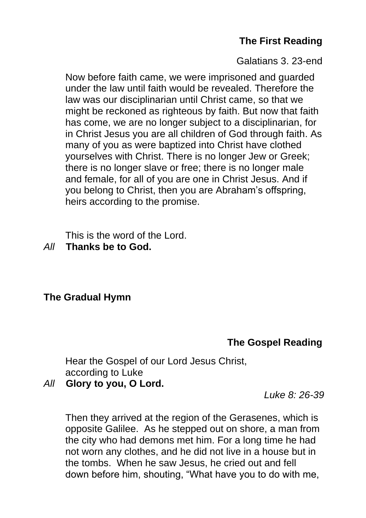# **The First Reading**

Galatians 3. 23-end

Now before faith came, we were imprisoned and guarded under the law until faith would be revealed. Therefore the law was our disciplinarian until Christ came, so that we might be reckoned as righteous by faith. But now that faith has come, we are no longer subject to a disciplinarian, for in Christ Jesus you are all children of God through faith. As many of you as were baptized into Christ have clothed yourselves with Christ. There is no longer Jew or Greek; there is no longer slave or free; there is no longer male and female, for all of you are one in Christ Jesus. And if you belong to Christ, then you are Abraham's offspring, heirs according to the promise.

This is the word of the Lord.

*All* **Thanks be to God.**

## **The Gradual Hymn**

# **The Gospel Reading**

Hear the Gospel of our Lord Jesus Christ, according to Luke

*All* **Glory to you, O Lord.**

*Luke 8: 26-39*

Then they arrived at the region of the Gerasenes, which is opposite Galilee. As he stepped out on shore, a man from the city who had demons met him. For a long time he had not worn any clothes, and he did not live in a house but in the tombs. When he saw Jesus, he cried out and fell down before him, shouting, "What have you to do with me,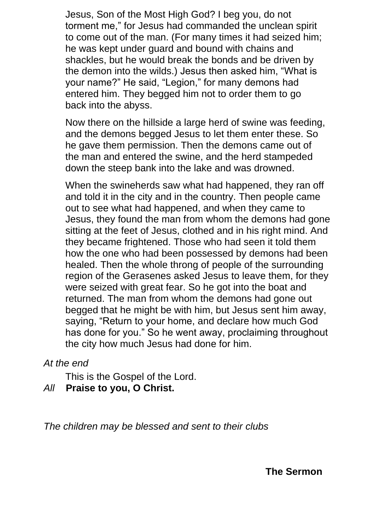Jesus, Son of the Most High God? I beg you, do not torment me," for Jesus had commanded the unclean spirit to come out of the man. (For many times it had seized him; he was kept under guard and bound with chains and shackles, but he would break the bonds and be driven by the demon into the wilds.) Jesus then asked him, "What is your name?" He said, "Legion," for many demons had entered him. They begged him not to order them to go back into the abyss.

Now there on the hillside a large herd of swine was feeding, and the demons begged Jesus to let them enter these. So he gave them permission. Then the demons came out of the man and entered the swine, and the herd stampeded down the steep bank into the lake and was drowned.

When the swineherds saw what had happened, they ran off and told it in the city and in the country. Then people came out to see what had happened, and when they came to Jesus, they found the man from whom the demons had gone sitting at the feet of Jesus, clothed and in his right mind. And they became frightened. Those who had seen it told them how the one who had been possessed by demons had been healed. Then the whole throng of people of the surrounding region of the Gerasenes asked Jesus to leave them, for they were seized with great fear. So he got into the boat and returned. The man from whom the demons had gone out begged that he might be with him, but Jesus sent him away, saying, "Return to your home, and declare how much God has done for you." So he went away, proclaiming throughout the city how much Jesus had done for him.

#### *At the end*

This is the Gospel of the Lord.

*All* **Praise to you, O Christ.**

*The children may be blessed and sent to their clubs*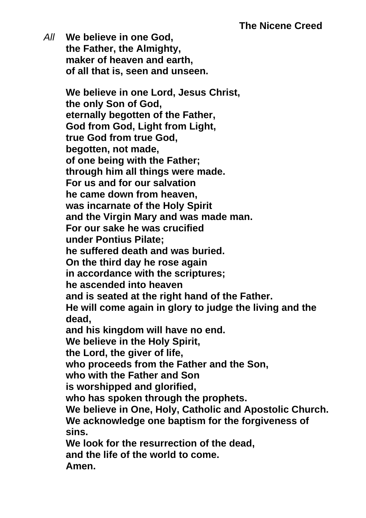*All* **We believe in one God, the Father, the Almighty, maker of heaven and earth, of all that is, seen and unseen.**

> **We believe in one Lord, Jesus Christ, the only Son of God, eternally begotten of the Father, God from God, Light from Light, true God from true God, begotten, not made, of one being with the Father; through him all things were made. For us and for our salvation he came down from heaven, was incarnate of the Holy Spirit and the Virgin Mary and was made man. For our sake he was crucified under Pontius Pilate; he suffered death and was buried. On the third day he rose again in accordance with the scriptures; he ascended into heaven and is seated at the right hand of the Father. He will come again in glory to judge the living and the dead, and his kingdom will have no end. We believe in the Holy Spirit, the Lord, the giver of life, who proceeds from the Father and the Son, who with the Father and Son is worshipped and glorified, who has spoken through the prophets. We believe in One, Holy, Catholic and Apostolic Church. We acknowledge one baptism for the forgiveness of sins. We look for the resurrection of the dead, and the life of the world to come. Amen.**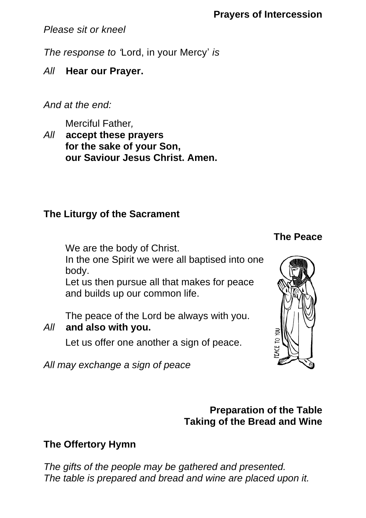*Please sit or kneel*

*The response to '*Lord, in your Mercy' *is* 

# *All* **Hear our Prayer.**

#### *And at the end:*

Merciful Father*,*

*All* **accept these prayers for the sake of your Son, our Saviour Jesus Christ. Amen.**

## **The Liturgy of the Sacrament**

We are the body of Christ.

In the one Spirit we were all baptised into one body.

Let us then pursue all that makes for peace and builds up our common life.

The peace of the Lord be always with you.

#### *All* **and also with you.**

Let us offer one another a sign of peace.

*All may exchange a sign of peace*

# **The Peace**



#### **Preparation of the Table Taking of the Bread and Wine**

# **The Offertory Hymn**

*The gifts of the people may be gathered and presented. The table is prepared and bread and wine are placed upon it.*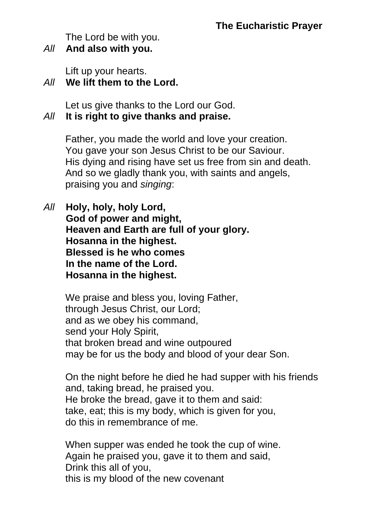The Lord be with you.

#### *All* **And also with you.**

Lift up your hearts.

#### *All* **We lift them to the Lord.**

Let us give thanks to the Lord our God.

#### *All* **It is right to give thanks and praise.**

Father, you made the world and love your creation. You gave your son Jesus Christ to be our Saviour. His dying and rising have set us free from sin and death. And so we gladly thank you, with saints and angels, praising you and *singing*:

*All* **Holy, holy, holy Lord, God of power and might, Heaven and Earth are full of your glory. Hosanna in the highest. Blessed is he who comes In the name of the Lord. Hosanna in the highest.** 

We praise and bless you, loving Father, through Jesus Christ, our Lord; and as we obey his command, send your Holy Spirit, that broken bread and wine outpoured may be for us the body and blood of your dear Son.

On the night before he died he had supper with his friends and, taking bread, he praised you. He broke the bread, gave it to them and said: take, eat; this is my body, which is given for you, do this in remembrance of me.

When supper was ended he took the cup of wine. Again he praised you, gave it to them and said, Drink this all of you, this is my blood of the new covenant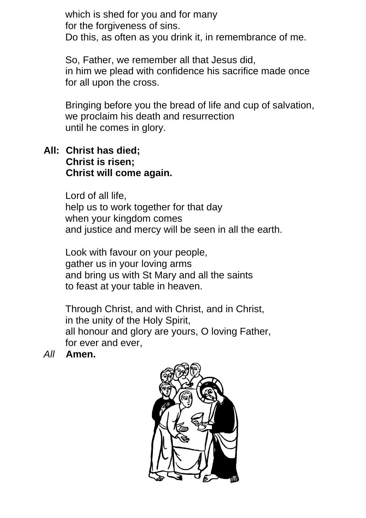which is shed for you and for many for the forgiveness of sins. Do this, as often as you drink it, in remembrance of me.

So, Father, we remember all that Jesus did, in him we plead with confidence his sacrifice made once for all upon the cross.

Bringing before you the bread of life and cup of salvation, we proclaim his death and resurrection until he comes in glory.

#### **All: Christ has died; Christ is risen; Christ will come again.**

Lord of all life, help us to work together for that day when your kingdom comes and justice and mercy will be seen in all the earth.

Look with favour on your people, gather us in your loving arms and bring us with St Mary and all the saints to feast at your table in heaven.

Through Christ, and with Christ, and in Christ, in the unity of the Holy Spirit, all honour and glory are yours, O loving Father, for ever and ever,

*All* **Amen.**

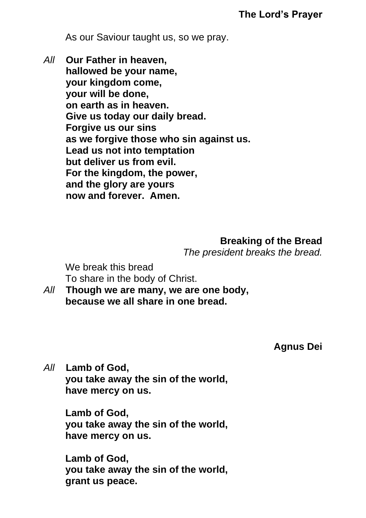As our Saviour taught us, so we pray.

*All* **Our Father in heaven, hallowed be your name, your kingdom come, your will be done, on earth as in heaven. Give us today our daily bread. Forgive us our sins as we forgive those who sin against us. Lead us not into temptation but deliver us from evil. For the kingdom, the power, and the glory are yours now and forever. Amen.**

**Breaking of the Bread**

*The president breaks the bread.* 

We break this bread To share in the body of Christ.

*All* **Though we are many, we are one body, because we all share in one bread.** 

**Agnus Dei**

*All* **Lamb of God, you take away the sin of the world,** 

**have mercy on us.** 

**Lamb of God, you take away the sin of the world, have mercy on us.** 

**Lamb of God, you take away the sin of the world, grant us peace.**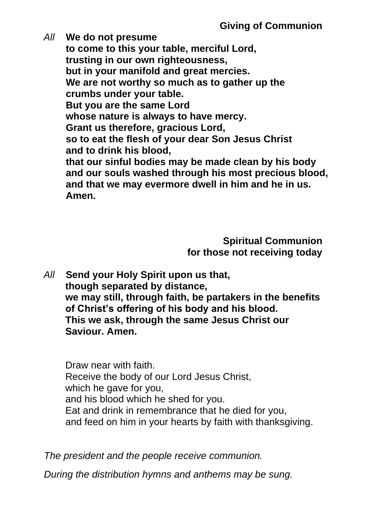*All* **We do not presume to come to this your table, merciful Lord, trusting in our own righteousness, but in your manifold and great mercies. We are not worthy so much as to gather up the crumbs under your table. But you are the same Lord whose nature is always to have mercy. Grant us therefore, gracious Lord, so to eat the flesh of your dear Son Jesus Christ and to drink his blood, that our sinful bodies may be made clean by his body and our souls washed through his most precious blood, and that we may evermore dwell in him and he in us. Amen.**

> **Spiritual Communion for those not receiving today**

*All* **Send your Holy Spirit upon us that, though separated by distance, we may still, through faith, be partakers in the benefits of Christ's offering of his body and his blood. This we ask, through the same Jesus Christ our Saviour. Amen.** 

Draw near with faith. Receive the body of our Lord Jesus Christ, which he gave for you, and his blood which he shed for you. Eat and drink in remembrance that he died for you, and feed on him in your hearts by faith with thanksgiving.

*The president and the people receive communion.*

*During the distribution hymns and anthems may be sung.*